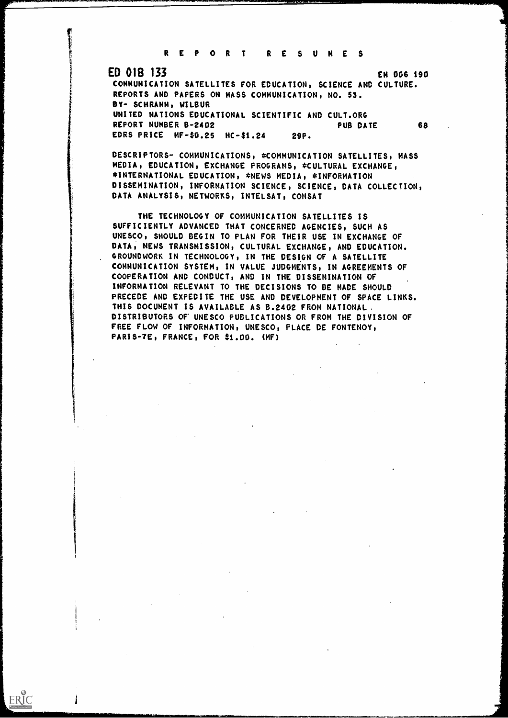<sup>R</sup> <sup>E</sup> <sup>P</sup> <sup>O</sup> <sup>R</sup> <sup>T</sup> RE SUM

## ED 018 133 EN 006 190

ERIC

COMMUNICATION SATELLITES FOR EDUCATION, SCIENCE AND CULTURE. REPORTS AND PAPERS ON MASS COMMUNICATION, NO. 53. BY- SCHRAMM, WILBUR UNITED NATIONS EDUCATIONAL SCIENTIFIC AND CULT.ORG REPORT NUMBER B-2402 PUB DATE 68 EDRS PRICE MF-\$0.25 HC-\$1.24 29P.

DESCRIPTORS- COMMUNICATIONS, \*COMMUNICATION SATELLITES, MASS MEDIA, EDUCATION, EXCHANGE PROGRAMS, \*CULTURAL EXCHANGE, \*INTERNATIONAL EDUCATION, \*NEWS MEDIA, \*INFORMATION DISSEMINATION, INFORMATION SCIENCE, SCIENCE, DATA COLLECTION, DATA ANALYSIS, NETWORKS, INTELSAT, COMSAT

THE TECHNOLOGY OF COMMUNICATION SATELLITES IS SUFFICIENTLY ADVANCED THAT CONCERNED AGENCIES, SUCH AS UNESCO, SHOULD BEGIN TO PLAN FOR THEIR USE IN EXCHANGE OF DATA, NEWS TRANSMISSION, CULTURAL EXCHANGE, AND EDUCATION. GROUNDWORK IN TECHNOLOGY, IN THE DESIGN OF A SATELLITE COMMUNICATION SYSTEM, IN VALUE JUDGMENTS, IN AGREEMENTS OF COOPERATION AND CONDUCT, AND IN THE DISSEMINATION OF INFORMATION RELEVANT TO THE DECISIONS TO BE MADE SHOULD PRECEDE AND EXPEDITE THE USE AND DEVELOPMENT OF SPACE LINKS. THIS DOCUMENT IS AVAILABLE AS B.2402 FROM NATIONAL. DISTRIBUTORS Or UNESCO PUBLICATIONS OR FROM THE DIVISION OF FREE FLOW OF INFORMATION, UNESCO, PLACE DE FONTENOY, FARIS-7E, FRANCE, FOR \$1.00. (MF)

 $\sim 10^{11}$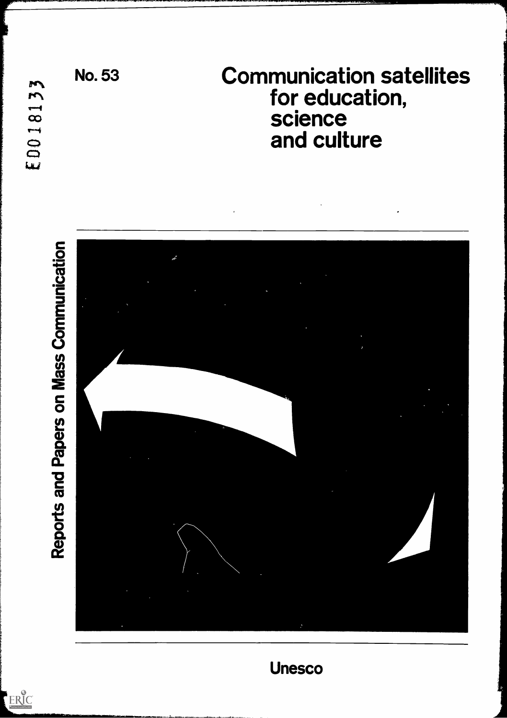ERIC



Unesco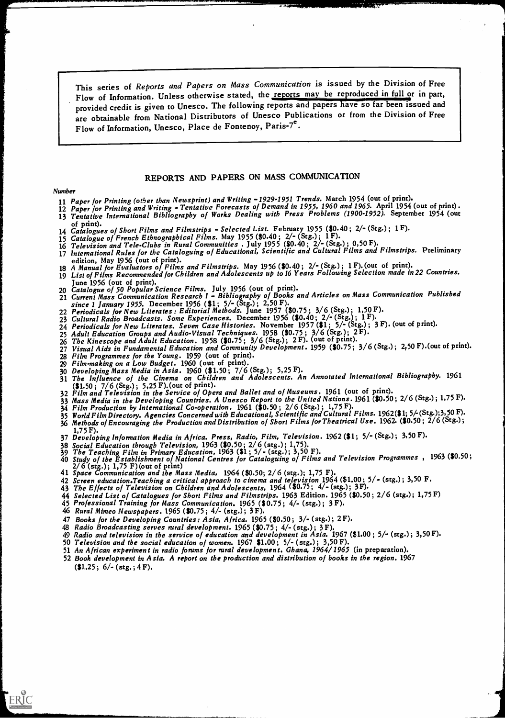This series of Reports and Papers on Mass Communication is issued by the Division of Free Flow of Information. Unless otherwise stated, the reports may be reproduced in full or in part, provided credit is given to Unesco. The following reports and papers have so far been issued and are obtainable from National Distributors of Unesco Publications or from the Division of Free Flow of Information, Unesco, Place de Fontenoy, Paris-7<sup>e</sup>.

### REPORTS AND PAPERS ON MASS COMMUNICATION

#### Number

- 11 Paper for Printing (other than Newsprint) and Writing -1929.1951 Trends. March 1954 (out of print).
- 12 Paper for Printing and Writing Tentative Forecasts of Demand in 1955, 1960 and 1965. April 1954 (out of print). 13 Tentative International Bibliography of Works Dealing with Press Problems (1900-1952). September 1954 (out<br>of print).
- 14 Catalogues of Short Films and Filmstrips Selected List. February 1955 (\$0.40; 2/- (Stg.); 1 F).
- 15 Catalogue of French Ethnographical Films. May 1955 (\$0.40; 2/- (Stg.); 1F).
- 16 Television and Tele-Clubs in Rural Communities. July 1955 (\$0.40; 2/- (Stg.); 0,50 F).
- 17 International Rules for the Cataloguing of Educational, Scientific and Cultural Films and Filmstrips. Preliminary edition, May 1956 (out of print).
- 18 A Manual for Evaluators of Films and Filmstrips. May 1956 (\$0.40; 2/- (Stg.) ; 1 F). (out of print).
- 19 List of Films Recommended for Children and Adolescents up to 16 Years Following Selection made in 22 Countries.
- June 1956 (out of print).<br>20 *Catalogue of 50 Popular Science Films*. July 1956 (out of print).
- 21 Current Mass Communication Research I Bibliography of Books and Articles on Mass Communication Published since 1 January 1955. December 1956 (\$1; 5/- (Stg.); 2,50 F).
- 22 Periodicals for New Literates: Editorial Methods. June 1957 (\$0.75; 3/6 (Stg.); 1,50 F).
- 23 Cultural Radio Broadcasts. Some Experiences. December 1956 (\$0.40; 2/- (Stg.) ; 1 F).
- 24 Periodicals for New Literates. Seven Case Histories. November 1957 (\$1 ; 5/- (Stg.) ; 3 F). (out of print).
- 
- 25 Adult Education Groups and Audio-Visual Techniques. 1958 (\$0.75; 3/6 (Stg.); 2F).<br>26 The Kinescope and Adult Education. 1958 (\$0.75; 3/6 (Stg.); 2F). (out of print).
- 27 Visual Aids in Fundamental Education and Community Development. 1959 (\$0.75; 3/6 (Stg.); 2,50 F).(out of print).
- 
- 28 Film Programmes for the Young. 1959 (out of print). 29 Film-making on a Low Budget. 1960 (out of print). 30 Developing Mass Media in Asia. 1960 (\$1.50; 7/6 (Stg.); 5,25 F).
- 31 The Influence of the Cinema on Children and Adolescents. An Annotated International Bibliography. 1961 (\$1.50; 7/6 (Stg.); 5,25 F). (out of print).
- 32 Film and Television in the Service of Opera and Ballet and of Museums. 1961 (out of print).
- 33 Mass Media in the Developing Countries. A Unesco Report to the United Nations. 1961 (\$0.50; 2/6 (Stg.); 1,75 F).
- $34$  Film Production by International Co-operation. 1961 (\$0.50;  $2/6$  (Stg.); 1,75 F).
- 35 World Film Directory. Agencies Concerned with Educational, Scientific and Cultural Films. 1962(\$1; 5/-(Stg.);3,50 F). 36 Methods of Encouraging the Production and Distribution of Short Films for Theatrical Use. 1962. (\$0.50;  $\frac{1}{2}/6$  (Stg.);<br>1,75 F).
- 
- 37 Developing Information Media in Africa. Press, Radio, Film, Television. 1962 (\$1; 5/- (Stg.); 3,50 F).<br>38 Social Education through Television, 1963 (\$0.50; 2/6 (stg.); 1,75).
- 
- 39 The Teaching Film in Primary Education, 1963 (\$1; 5/- (stg.); 3,50 F).<br>40 Study of the Establishment of National Centres for Cataloguing of Films and Television Programmes, 1963 (\$0.50;<br>2/6 (stg.); 1,75 F) (out of print
- 
- 41 Space Communication and the Mass Media, 1964 (\$0.50; 2/6 (stg.); 1,75 F).<br>42 Screen education. Teaching a critical approach to cinema and television 1964 (\$1.00; 5/- (stg.); 3,50 F.<br>43 The Effects of Television on Child
- 
- 44 Selected List of Catalogues for Short Films and Filmstrips. 1963 Edition. 1965 (\$0.50; 2/6 (stg.); 1,75 F)<br>45 Professional Training for Mass Communication. 1965 (\$0.75; 4/- (stg.); 3 F).<br>46 Rural Mimeo Newspapers. 1965
- 
- 
- 
- 
- 47 Books for the Developing Countries: Asia, Africa. 1965 (\$0.50; 3/- (stg.); 2F).<br>48 Radio Broadcasting serves rural development. 1965 (\$0.75; 4/- (stg.); 3F).<br>49 Radio and television in the service of education and devel
- 
- 
- 52 Book development in Asia. A report on the production and distribution of books in the region. 1967  $(1.25; 6/-(\text{stg.}; 4F)).$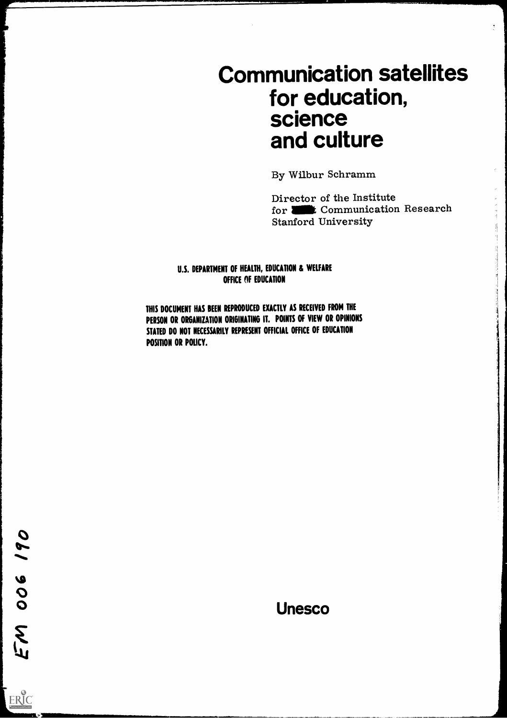# Communication satellites for education, science and culture

By Wilbur Schramm

Director of the Institute for **all the Communication Research** Stanford University

## U.S. DEPARTMENT OF HEALTH, EDUCATION & WELFARE OFFICE OF EDUCATION

THIS DOCUMENT HAS BEEN REPRODUCED EXACTLY AS RECEIVED FROM THE PERSON OR ORGANIZATION ORIGINATING IT. POINTS OF VIEW OR OPINIONS STATED DO NOT NECESSARILY REPRESENT OFFICIAL OFFICE OF EDUCATION POSITION OR POLICY.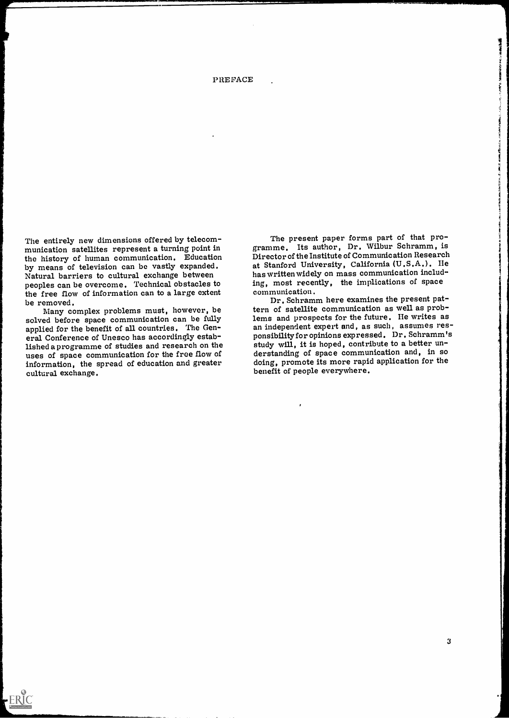#### PREFACE

The entirely new dimensions offered by telecom- munication satellites represent a turning point in the history of human communication. Education<br>by means of television can be vastly expanded. Natural barriers to cultural exchange between peoples can be overcome. Technical obstacles to the free flow of information can to a large extent be removed.

Many complex problems must, however, be solved before space communication can be fully applied for the benefit of all countries. The General Conference of Unesco has accordingly established a programme of studies and research on the study will, it is hoped, contribute to a better un-<br>uses of space communication for the free flow of derstanding of space communication and, in so uses of space communication for the free flow of information, the spread of education and greater cultural exchange.

 $ERIC$ 

The present paper forms part of that programme. Its author, Dr. Wilbur Schramm, is Director of the Institute of Communication Research at Stanford University, California (U.S.A.). He has written widely on mass communication including, most recently, the implications of space communication.

Dr. Schramm here examines the present pattern of satellite communication as well as problems and prospects for the future. He writes as an independent expert and, as such, assumes res-<br>ponsibility for opinions expressed. Dr. Schramm's study will, it is hoped, contribute to a better undoing, promote its more rapid application for the benefit of people everywhere.

**HERMAN** 

**CRANT**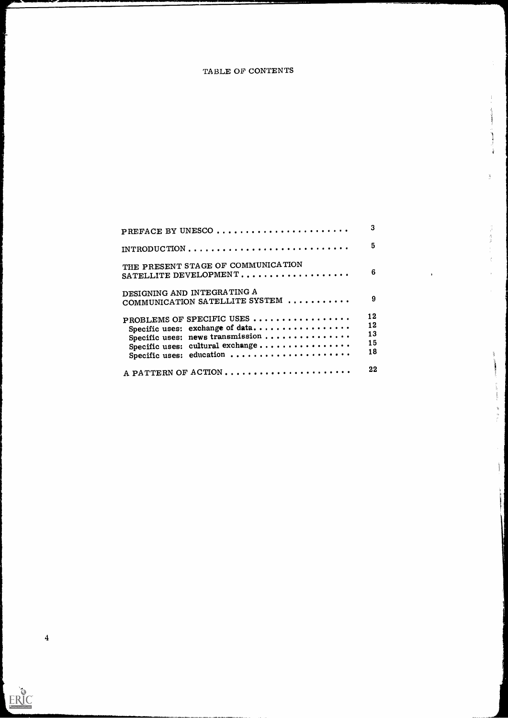## TABLE OF CONTENTS

 $\frac{1}{2}$ 

 $\frac{1}{2} \left( \frac{1}{2} \right)^2 \left( \frac{1}{2} \right)^2 \left( \frac{1}{2} \right)^2$ 

 $\frac{1}{4}$ 

 $\frac{2}{3}$  $\frac{15}{16}$ 

W

J.

À Þ

Ĭ

| PREFACE BY UNESCO                                                                                                                                                | 3                          |
|------------------------------------------------------------------------------------------------------------------------------------------------------------------|----------------------------|
| INTRODUCTION                                                                                                                                                     | 5                          |
| THE PRESENT STAGE OF COMMUNICATION<br>SATELLITE DEVELOPMENT                                                                                                      | 6                          |
| DESIGNING AND INTEGRATING A<br>COMMUNICATION SATELLITE SYSTEM                                                                                                    | 9                          |
| PROBLEMS OF SPECIFIC USES<br>Specific uses: exchange of data<br>Specific uses: news transmission<br>Specific uses: cultural exchange<br>Specific uses: education | 12<br>12<br>13<br>15<br>18 |
| A PATTERN OF ACTION                                                                                                                                              | 22                         |

4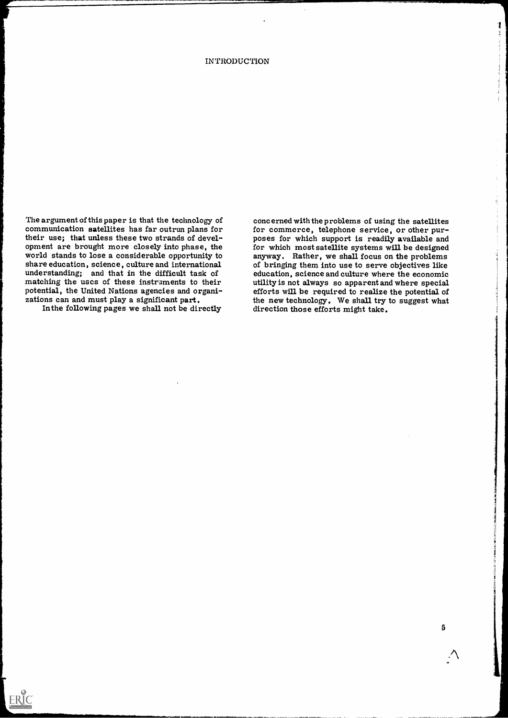#### **INTRODUCTION**

The argument of this paper is that the technology of communication satellites has far outrun plans for for commerce, telephone service, or other purtheir use; that unless these two strands of development are brought more closely into phase, the for which most satellite systems will be designed world stands to lose a considerable opportunity to anyway. Rather, we shall focus on the problems share education, science, culture and international understanding; and that in the difficult task of

Inthe following pages we shall not be directly

 $FRC Corrations  $F_{\text{v}} = \frac{1}{2} \sum_{n=1}^{\infty} \frac{1}{n^2}$$ </u>

matching the uses of these instruments to their utility is not always so apparent and where special potential, the United Nations agencies and organi-<br>zations can and must play a significant part.<br>In the following pages we concerned with the problems of using the satellites poses for which support is readily available and for which most satellite systems will be designed of bringing them into use to serve objectives like education, science and culture where the economic efforts will be required to realize the potential of the new technology. We shall try to suggest what

5

١ŧ. -9

h,

 $\frac{1}{\Omega}$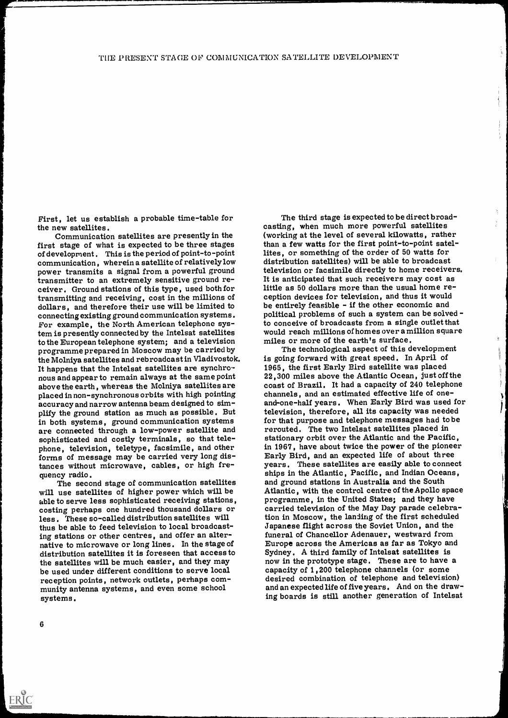First, let us establish a probable time-table for the new satellites.

Communication satellites are presently in the first stage of what is expected to be three stages of development . This is the period of point-to-point communication, wherein a satellite of relatively low power transmits a signal from a powerful ground transmitter to an extremely sensitive ground receiver. Ground stations of this type, used both for transmitting and receiving, cost in the millions of dollars, and therefore their use will be limited to connecting existing ground communication systems. For example, the North American telephone system is presently connected by the Intelsat satellites to the European telephone system; and a television programme prepared in Moscow may be carried by It happens that the Intelsat satellites are synchronous and appear to remain always at the same point above the earth, whereas the Molniya satellites are placed in non-synchronous orbits with high pointing accuracy and narrow antenna beam designed to simplify the ground station as much as possible. But in both systems, ground communication systems are connected through a low-power satellite and phone, television, teletype, facsimile, and other in 1967, have about twice the power of the pioneer forms of message may be carried very long distances without microwave, cables, or high fre-

able to serve less sophisticated receiving stations, costing perhaps one hundred thousand dollars or less . These so-called distribution satellites will thus be able to feed television to local broadcasting stations or other centres, and offer an alternative to microwave or long lines. In the stage of distribution satellites it is foreseen that access to Sydney. A third family of Intelsat satellites is the satellites will be much easier, and they may how in the prototype stage. These are to have<br>be used under different conditions to serve local capacity of 1,200 telephone channels (or some be used under different conditions to serve local reception points, network outlets, perhaps community antenna systems, and even some school systems.

The third stage is expected to be direct broad- casting, when much more powerful satellites (working at the level of several kilowatts, rather than a few watts for the first point-to-point satellites, or something of the order of 50 watts for television or facsimile directly to home receivers. It is anticipated that such receivers may cost as little as 50 dollars more than the usual home reception devices for television, and thus it would be entirely feasible - if the other economic and political problems of such a system can be solved -<br>to conceive of broadcasts from a single outlet that would reach millions of homes over a million square

 $\frac{24}{41}$ 

quency radio.<br>The second stage of communication satellites and ground stations in Australia and the South<br>will use satellites of higher power which will be Allantic, with the control centre of the Apollo space miles or more of the earth's surface.<br>The technological aspect of this development is going forward with great speed. In April of 1965, the first Early Bird satellite was placed. 22,300 miles above the Atlantic Ocean, just off the coast of Brazil. It had a capacity of 240 telephone channels, and an estimated effective life of oneand-one-half years. When Early Bird was used for television, therefore, all its capacity was needed for that purpose and telephone messages had to be rerouted. The two Intelsat satellites placed in stationary orbit over the Atlantic and the Pacific, Early Bird, and an expected life of about three<br>years. These satellites are easily able to connect programme, in the United States; and they have carried television of the May Day parade celebration in Moscow, the larding of the first scheduled Japanese flight across the Soviet Union, and the funeral of Chancellor Adenauer, westward from<br>Europe across the Americas as far as Tokyo and now in the prototype stage. These are to have a desired combination of telephone and television) and an expected life of five years. And on the drawing boards is still another generation of Intelsat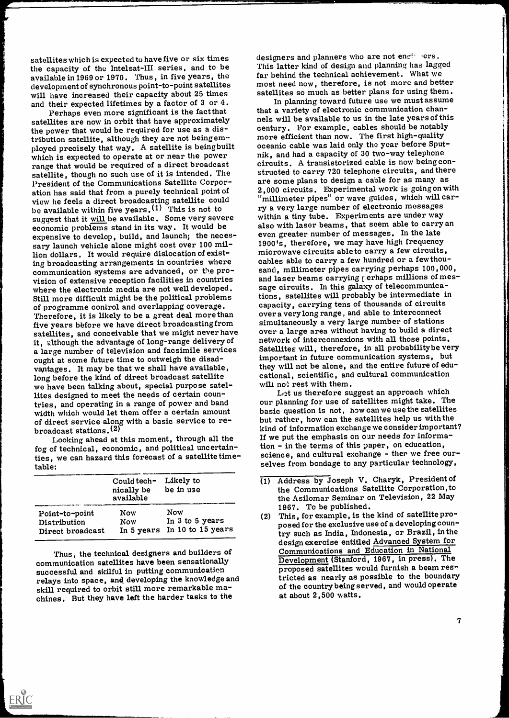satellites which is expected to have five or six times the capacity of the Intelsat-III series, and to be available in 1969 or 1970. Thus, in five years, the development of synchronous point-to-point satellites will have increased their capacity about 25 times and their expected lifetimes by a factor of 3 or 4.

Perhaps even more significant is the factthat satellites are now in orbit that have approximately and help will be available to us in the late years of this<br>the power that would be required for use as a dis-<br>century. For example, cables should be notably the power that would be required for use as a distribution satellite, although they are not being employed precisely that way. A satellite is being built oceanic cable was laid only the year before Sput<br>which is expected to operate at or near the power hik. and had a capacity of 30 two-way telephone which is expected to operate at or near the power range that would be required of a direct broadcast satellite, though no such use of it is intended. The structed to carry 720 telephone circuits, and there satellite, though no such use of it is intended. The structed to carry 720 telephone circuits, and there exercise to ation has said that from a purely technical point of 2,000 circuits. Experimental work is going on with view he feels a direct broadcasting satellite could "millimeter pipes" or wave guides, which will carbe available within five years.<sup>(1)</sup> This is not to suggest that it will be available. Some very severe economic problems stand in its way. It would be expensive to develop, build, and launch; the necessary launch vehicle alone might cost over 100 million dollars. It would require dislocation of exist-<br>ing broadcasting arrangements in countries where ing broadcasting arrangements in countries where cables able to carry a few hundred or a few thou-<br>communication systems are advanced, or the pro-<br>sand, millimeter pipes carrying perhaps 100,000 vision of extensive reception facilities in countries where the electronic media are not well developed. Still more difficult might be the political problems of programme control and overlapping coverage. Therefore, it is likely to be a great deal more than five years before we have direct broadcastingfrom satellites, and conceivable that we might never have over a large area without naving to build a direct<br>it although the advantage of long-range delivery of statuork of interconnexions with all those points. it, although the advantage of long-range delivery of a large number of television and facsimile services ought at some future time to outweigh the disadvantages. It may be that we shall have available, long before the kind of direct broadcast satellite we have been talking about, special purpose satellites designed to meet the needs of certain countries, and operating in a range of power and band width which would let them offer a certain amount of direct service along with a basic service to rebroadcast stations.(2)

Looking ahead at this moment, through all the  $\overline{\phantom{a}}$  if we put the emphasis on our needs for information,  $\overline{\phantom{a}}$  of technical, economic, and political uncertain-<br>Let up the terms of this paper, on education, fog of technical, economic, and political uncertainties, we can hazard this forecast of a satellite timetable:

|                                                    | Could tech-<br>nically be<br>available | Likely to<br>be in use                                        | $\blacksquare$ |
|----------------------------------------------------|----------------------------------------|---------------------------------------------------------------|----------------|
| Point-to-point<br>Distribution<br>Direct broadcast | Now<br><b>Now</b>                      | <b>Now</b><br>In 3 to 5 years<br>In 5 years In 10 to 15 years | (2             |

Thus, the technical designers and builders of communication satellites have been sensationally successful and skilful in putting communication relays into space, and developing the knowledge and skill required to orbit still more remarkable ma- chines. But they have left the harder tasks to the

 $\sum_{\lambda_{\text{full set Proof of type}}}\sum_{\text{real}}$ 

designers and planners who are not engineers. This latter kind of design and planning has lagged far behind the technical achievement. What we most need now, therefore, is not more and better satellites so much as better plans for using them. In planning toward future use we must assume

that a variety of electronic communication chanmore efficient than now. The first high-quality oceanic cable was laid only the year before Sputcircuits. A transistorized cable is now being conare some plans to design a cable for as many as "millimeter pipes" or wave guides, which will carry a very large number of electronic messages within a tiny tube. Experiments are under way also with laser beams, that seem able to carry an even greater number of messages. In the late 1900's, therefore, we may have high frequency microwave circuits able to carry a few circuits, sand, millimeter pipes carrying perhaps 100,000, and laser beams carrying  $r$  erhaps millions of message circuits. In this galaxy of telecommunications, satellites will probably be intermediate in capacity, carrying tens of thousands of circuits over a very long range , and able to interconnect simultaneously a very large number of stations over a large area without having to build a direct Satellites will, therefore, in all probability be very important in future communication systems, but<br>they will not be alone, and the entire future of educational, scientific, and cultural communication will not rest with them.

Let us therefore suggest an approach which our planning for use of satellites might take. The basic question is not, how can we use the satellites but rather, how can the satellites help us with the kind of information exchange we consider important? If we put the emphasis on our needs for informascience, and cultural exchange - ther we free ourselves from bondage to any particular technology,

- (1) Address by Joseph V. Charyk, President of the Communications Satellite Corporation,to the Asilomar Seminar on Television, 22 May 1967. To be published.
- (2) This, for example, is the kind of satellite proposed for the exclusive use of a developing country such as India, Indonesia, or Brazil, in the design exercise entitled Advanced System for Communications and Education in National Development (Stanford, 1967, in press). The proposed satellites would furnish a beam restricted as nearly as possible to the boundary of the country being served, and would operate at about 2,500 watts.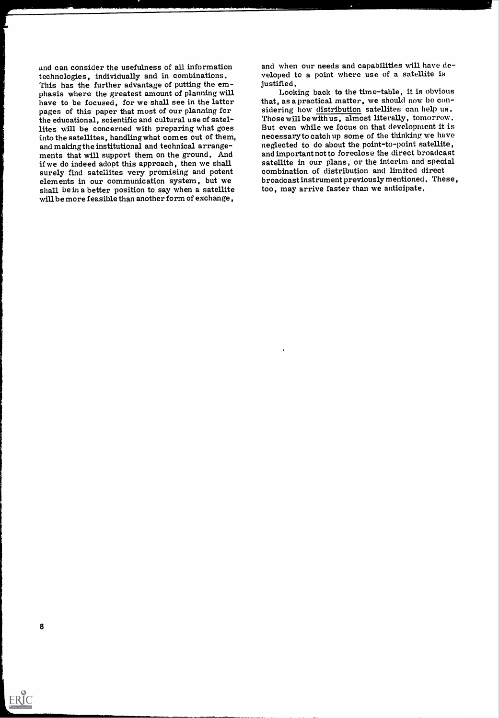technologies, individually and in combinations.<br>This has the further advantage of putting the em-<br>phasis where the greatest amount of planning will have to be focused, for we shall see in the latter that, as a practical matter, we should now be conpages of this paper that most of our planning for the educational, scientific and cultural use of satellites will be concerned with preparing what goes into the satellites, handling what comes out of them, and making the institutional and technical arrangeand making the institutional and technical arrange-<br>ments that will support them on the ground. And<br>if we do indeed adopt this approach, then we shall<br>satellite in our plans, or the interim and special<br>and in our plans, or surely find satellites very promising and potent combination of distribution and limited direct<br>elements in our communication system, but we broadcastinstrument previously mentioned. The<br>shall bein a better position to say shall be in a better position to say when a satellite will be more feasible than another form of exchange,

and can consider the usefulness of all information and when our needs and capabilities will have developed to a point where use of a satellite is justified.

Looking back to the time-table, it is obvious sidering how distribution satellites can help us. Those will be with us , almost literally, tomorrow . But even while we focus on that development it is necessary to catch up some of the thinking we have and important not to foreclose the direct broadcast broadcast instrument previously mentioned. These,

8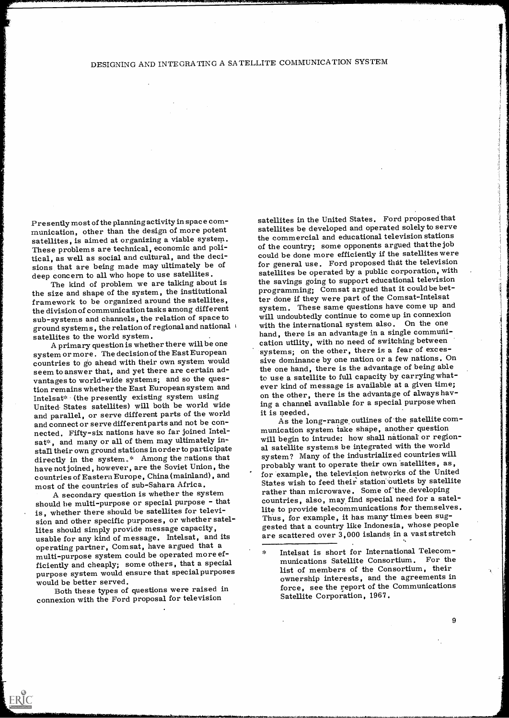## DESIGNING AND INTEGRATING A SATELLITE COMMUNICATION SYSTEM

Presently most of the planning activity in space com- munication, other than the design of more potent satellites, is aimed at organizing a viable system. These problems are technical, economic and political, as well as social and cultural, and the decisions that are being made may ultimately be of deep concern to all who hope to use satellites.

The kind of problem we are talking about is the size and shape of the system, the institutional framework to be organized around the satellites, the division of communication tasks among different sub-systems and channels, the relation of space to ground systems, the relation of regional and national  $\frac{1}{2}$  satellites to the world system.

A primary question is whether there will be one system or more. The decision of the East European countries to go ahead with their own system would seem to answer that, and yet there are certain advantages to world-wide systems; and so the question remains whether the East European system and Intelsat\* (the presently existing system using United. States satellites) will both be world wide and parallel, or serve different parts of the world and connect or serve different parts and not be connected. Fifty-six nations have so far joined Intelsat\*, and many or all of them may ultimately install their own ground stations in order to participate directly in the system.\* Among the rations that have not joined, however, are the Soviet Union, the countries of Eastern Europe, China (mainland) , and most of the countries of sub-Sahara Africa.

A. secondary question is whether the system should be multi-purpose or special purpose - that is, whether there should be satellites for television and other specific purposes, or whether satellites should simply provide message capacity, usable for any kind of message. Intelsat, and its operating partner, Comsat, have argued that a  $\overline{a}$ multi-purpose system could be operated more efficiently and cheaply; some others, that a special purpose system would ensure that special purposes would be better served.

Both these types of questions were raised in connexion with the Ford proposal for television

ERIC

satellites in the United States. Ford proposed that satellites be developed and operated solely to serve the commercial and educational television stations of the country; some opponents argued thatthe job could be done more efficiently if the satellites were for general use. Ford proposed that the television satellites be operated by a public corporation, with the savings going to support educational television programming; Comsat argued that it could be better done if they were part of the Comsat-Intelsat system. These same questions have come up and will undoubtedly continue to come up in connexion with the international system also. On the one hand, there is an advantage in a single communication utility, with no need of switching between systems; on the other, there is a fear of excessive dominance by one nation or a few nations. On the one hand, there is the advantage of being able to use a satellite to full capacity by carrying whatever kind of message is available at a given time; on the other, there is the advantage of always having a channel available for a special purpose when it is needed.

As the long-range outlines of the satellite communication system take shape, another question will begin to intrude: how shall national or regional satellite systems be integrated with the world system? Many of the industrialized countries will probably want to operate their own satellites, as, for example, the television networks of the United States wish to feed their station' outlets by satellite rather than microwave. Some of the developing countries, also, may find special need for a satellite to provide telecommunications for themselves. Thus, for example, it has many times been suggested that a country like Indonesia, whose people are scattered over 3,000 islands in a vast stretch

121111.110111001111iillaibidiaftlamezikeeFiamkoma.&...i..........ma.ma

9

Intelsat is short for International Telecommunications Satellite Consortium. For the list of members of the Consortium, their ownership interests, and the agreements in force, see the report of the Communications Satellite Corporation, 1967.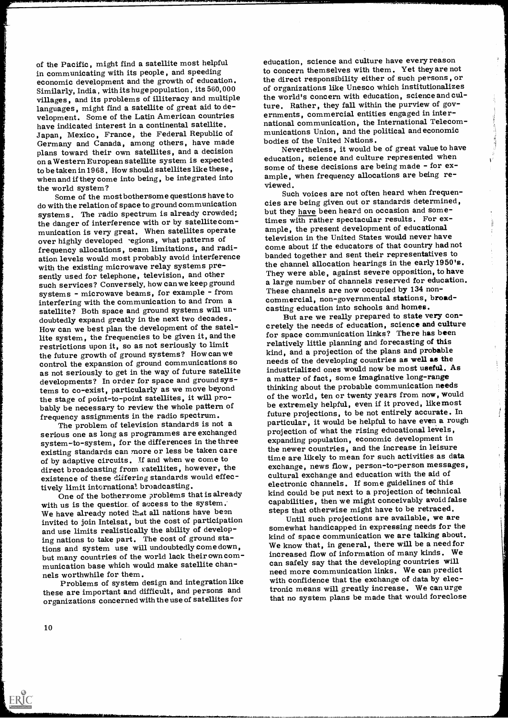of the Pacific, might find a satellite most helpful in communicating with its people, and speeding economic development and the growth of education. Similarly, India , with its huge population , its 560,000 villages, and its problems of illiteracy and multiple languages, might find a satellite of great aid to development. Some of the Latin American countries have indicated interest in a continental satellite. Japan, Mexico, France, the Federal Republic of Germany and Canada, among others, have made plans toward their own satellites, and a decision on a Western European satellite system is expected to be taken in 1968. How should satellites like these, when and if they come into being, be integrated into

the world system? Some of the most bothersome questions have to do with the relation of space to ground communication systems. The radio spectrum is already crowded; the danger of interference with or by satellitecommunication is very great, When satellites operate over highly developed regions, what patterns of frequency allocations, beam limitations, and radiation levels would most probably avoid interference with the existing microwave relay systems presently used for telephone, television, and other such services? Conversely, how can we keep ground systems - microwave beams, for example - from interfering with the communication to and from a commercial, non-governmental stations,<br>satellite? Both space and ground systems will un-<br>casting education into schools and homes. satellite? Both space and ground systems will undoubtedly expand greatly in the next two decades. How can we best plan the development of the satellite system, the frequencies to be given it, and the restrictions upon it, so as not seriously to limit the future growth of ground systems? How can we control the expansion of ground communications so as not seriously to get in the way of future satellite developments? In order for space and ground systems to co-exist, particularly as we move beyond the stage of point-to-point satellites, it will probably be necessary to review the whole pattern of frequency assignments in the radio spectrum. The problem of television standards is not a

serious one as long as programmes are exchanged system-to-system, for the differences in the three existing standards can more or less be taken care of by adaptive circuits. If and when we come to direct broadcasting from satellites, however, the exchange, news now, person-to-person messa<br>existence of these differing standards would effec-<br>cultural exchange and education with the aid of existence of these differing standards would effec-<br>tively limit international broadcasting.

One of the bothersome problems that is already with us is the questior. of access to the system. We have already noted that all nations have been invited to join Intelsat, but the cost of participation Until such projections are available, we are and use limits realistically the ability of developing nations to take part. The cost of ground stations and system use will undoubtedly come down, but many countries of the world lack their own communication base which would make satellite channels worthwhile for them.

Problems of system design and integration like these are important and difficult, and persons and organizations concerned with the use of satellites for

education, science and culture have every reason to concern themselves with them. Yet theyare not the direct responsibility either of such persons, or of organizations like Unesco which institutionalizes the world's concern with education, science and culture. Rather, they fall within the purview of governments, commercial entities engaged in international communication, the International Telecommunications Union, and the political and economic bodies of the United Nations.

Nevertheless, it would be of great value to have education, science and culture represented when some of these decisions are being made - for example, when frequency allocations are being reviewed.

Such voices are not often heard when frequencies are being given out or standards determined, but they have been heard on occasion and sometimes with rather spectacular results. For example, the present development of educational television in the United States would never have come about if the educators of that country had not banded together and sent their representatives to the channel allocation hearings in the early1950's. They were able, against severe opposition, to have a large number of channels reserved for education. These channels are now occupied by 134 noncommercial, non-governmental stations, broad-

But are we really prepared to state very concretely the needs of education, science and culture for space communication links? There has been relatively little planning and forecasting of this kind, and a projection of the plans and probable needs of the developing countries as well as the industrialized ones would now be most useful. As a matter of fact, some imaginative long-range thinking about the probable communication needs of the world, ten or twenty years from now, would be extremely helpful, even if it proved, likemost future projections, to be not entirely accurate. In particular, it would be helpful to have even a rough projection of what the rising educational levels, expanding population, economic development in the newer countries, and the increase in leisure time are likely to mean for such activities as data exchange, news flow, person-to-person messages, electronic channels. If some guidelines of this kind could be put next to a projection of technical capabilities, then we might conceivably avoid false steps that otherwise might have to be retraced.

Ŷ.

somewhat handicapped in expressing needs for the kind of space communication we are talking about. We know that, in general, there will be a need for increased flow of information of many kinds. We can safely say that the developing countries will need more communication links. We can predict with confidence that the exchange of data by electronic means will greatly increase. We can urge that no system plans be made that would foreclose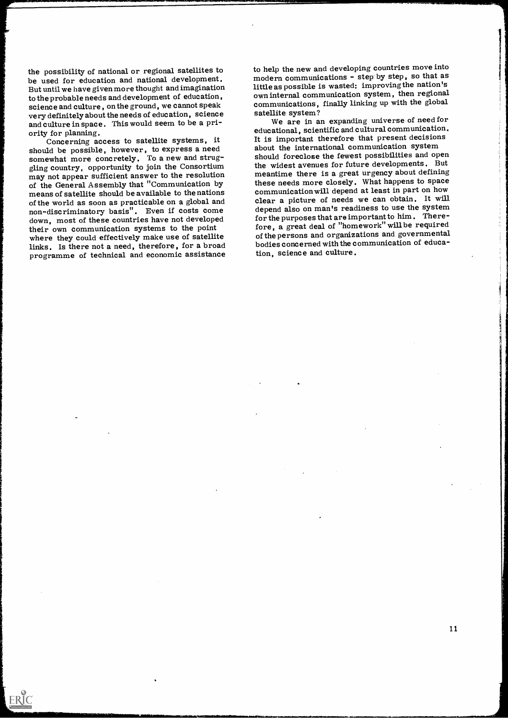the possibility of national or regional satellites to be used for education and national development. But until we have given more thought and imagination to the probable needs and development of education, science and culture, on the ground, we cannot speak communications,<br>
vour definitely about the needs of education, science satellite system? very definitely about the needs of education, science and culture in space. This would seem to be a pri-

ority for planning. Concerning access to satellite systems, it should be possible, however, to express a need somewhat more concretely. To a new and struggling country, opportunity to join the Consortium may not appear sufficient answer to the resolution of the General Assembly that "Communication by means of satellite should be available to the nations<br>of the world as soon as practicable on a global and non-discriminatory basis". Even if costs come down, most of these countries have not developed their own communication systems to the point where they could effectively make use of satellite links. Is there not a need, therefore, for a broad programme of technical and economic assistance

ERIC

to help the new and developing countries move into modern communications - step by step, so that as little as possible is wasted: improvingthe nation's own internal communication system, then regional communications, finally linking up with the global

We are in an expanding universe of needfor educational, scientific and cultural communication. It is important therefore that present decisions about the international communication system should foreclose the fewest possibilities and open the widest avenues for future developments. But meantime there is a great urgency about defining these needs more closely. What happens to space communication will depend at least in part on how clear a picture of needs we can obtain. It will depend also on man's readiness to use the system for the purposes that are important to him . Therefore, a great deal of "homework" willbe required of the persons and organizations and governmental bodies concerned with the communication of education, science and culture.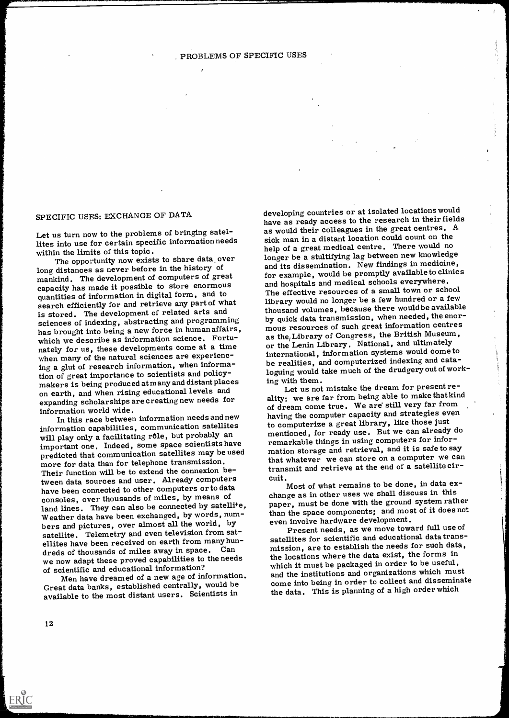## SPECIFIC USES: EXCHANGE OF DATA

Let us turn now to the problems of bringing satellites into use for certain specific informationneeds<br>within the limits of this topic.

The opportunity now exists to share data over long distances as never before in the history of mankind. The development of computers of great capacity has made it possible to store enormous quantities of information in digital form, and to search efficiently for and retrieve any part of what is stored. The development of related arts and sciences of indexing, abstracting and programming has brought into being a new force in human affairs, which we describe as information science. Fortunately for us, these developments come at a time when many of the natural sciences are experiencing a glut of research information, when information of great importance to scientists and policymakers is being produced at many and distant places ing with them. on earth, and when rising educational levels and expanding scholarships are creating new needs for information world wide.

In this race between information needs and new information capabilities, communication satellites will play only a facilitating rôle, but probably an important one. Indeed, some space scientists have predicted that communication satellites may be used more for data than for telephone transmission. Their function will be to extend the connexion between data sources and user. Already computers have been connected to other computers or to data consoles, over thousands of miles, by means of land lines. They can also be connected by satellite, Weather data have been exchanged, by words, numweamer have seen encouraged, by the control of the world, by the control of the personal pictures, over almost all the world, by satellite. Telemetry and even television from satellites have been received on earth from many hundreds of thousands of miles away in space. Can we now adapt these proved capabilities to the needs of scientific and educational information?

Men have dreamed of a new age of information. Great data banks, established centrally, would be available to the most distant

developing countries or at isolated locations would have as ready access to the research in their fields as would their colleagues in the great centres. <sup>A</sup> sick man in a distant location could count on the help of a great medical centre. There would no longer be a stultifying lag between new knowledge and its dissemination. New findings in medicine, for example, would be promptly available to clinics and hospitals and medical schools everywhere. The effective resources of a small town or school library would no longer be a few hundred or a few thousand volumes, because there would be available by quick data transmission, when needed, the enormous resources of such great information centres as the, Library of Congress, the British Museum, or the Lenin Library. National, and ultimately international, information systems would come to be realities, and computerized indexing and cataloguing would take much of the drudgery out of work-

Let us not mistake the dream for present reality: we are far from being able to make that kind of dream come true. We are still very far from having the computer capacity and strategies even to computerize a great library, like those just mentioned, for ready use. But we can already do remarkable things in using computers for information storage and retrieval, and it is safe to say that whatever we can store on a computer we can transmit and retrieve at the end of a satellite circuit.

Most of what remains to be done, in data exchange as in other uses we shall discuss in this paper, must be done with the ground system rather than the space components; and most of it does not

Present needs, as we move toward full use of satellites for scientific and educational data transmission, are to establish the needs for such data, the locations where the data exist, the forms in which it must be packaged in order to be useful, and the institutions and organizations which must come into being in order to collect and disseminate the data. This is planning of a high order which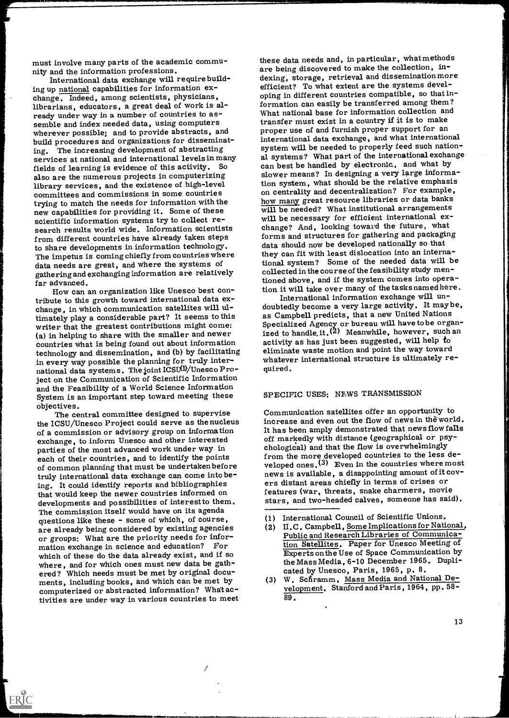must involve many parts of the academic commu-<br>nity and the information professions.

International data exchange will require build-<br>ing up national capabilities for information exchange. Indeed, among scientists, physicians, librarians, educators, a great deal of work is already under way in a number of countries to as-<br>semble and index needed data, using computers wherever possible; and to provide abstracts, and build procedures and organizations for disseminating. The increasing development of abstracting services at national and international levels in many fields of learning is evidence of this activity. So also are the numerous projects in computerizing library services, and the existence of high-level committees and commissions in some countries trying to match the needs for information with the the low many great resource infraries or data banks<br>new canabilities for providing it. Some of these will be needed? What institutional arrangements new capabilities for providing it. Some of these scientific information systems try to collect research results world wide. Information scientists change? And, looking toward the future, what from different countries have already taken steps to share developments in information technology. The impetus is coming chiefly from countries where data needs are great, and where the systems of gathering and exchanging information are relatively far advanced.

How can an organization like Unesco best con-<br>tribute to this growth toward international data exchange, in which communication satellites will ultimately play a considerable part? It seems to this (a) in helping to share with the smaller and newer countries what is being found out about information technology and dissemination, and (b) by facilitating in every way possible the planning for truly international data systems. The joint ICSU(1)/Unesco Project on the Communication of Scientific Information and the Feasibility of a World Science Information System is an important step toward meeting these

objectives. The central committee designed to supervise the ICSU/Unesco Project could serve as the nucleus of a commission or advisory group on information exchange, to inform Unesco and other interested parties of the most advanced work under way in each of their countries, and to identify the points of common planning that must be undertaken before truly international data exchange can come into being. It could identify reports and bibliographies developments and possibilities of interest to them. The commission itself would have on its agenda questions like these - some of which, of course, are already being considered by existing agencies or groups: What are the priority needs for information exchange in science and education? For<br>which of these do the data already exist, and if so where, and for which ones must new data be gathered? Which needs must be met by original docu-<br>ments, including books, and which can be met by computerized or abstracted information? Whatactivities are under way in various countries to meet

these data needs and, in particular, whatmethods are being discovered to make the collection, indexing, storage, retrieval and dissemination more efficient? To what extent are the systems developing in different countries compatible, so that information can easily be transferred among them? What national base for information collection and transfer must exist in a country if it is to make proper use of and furnish proper support for an international data exchange, and what international system will be needed to properly feed such national systems? What part of the international exchange can best be handled by electronic, and what by slower means? In designing a very large information system, what should be the relative emphasis on centrality and decentralization? For example, how many great resource libraries or data banks will be necessary for efficient international exforms and structures for gathering and packaging data should now be developed nationally so that they can fit with least dislocation into an international system? Some of the needed data will be collected in the course of the feasibility study mentioned above, and if the system comes into operation it will take over many of the tasks named here.

International information exchange will undoubtedly become a very large activity. It maybe, as Campbell predicts, that a new United Nations Specialized Agency or bureau will have tobe organized to handle.it.<sup>(2)</sup> Meanwhile, however, such an activity as has just been suggested, will help to eliminate waste motion and point the way toward whatever international structure is ultimately required.

#### SPECIFIC USES: NEWS TRANSMISSION

Communication satellites offer an opportunity to increase and even out the flow of news in the world. It has been amply demonstrated that newsflow falls off markedly with distance (geographical or psychologidal) and that the flow is overwhelmingly from the more developed countries to the less developed ones.<sup>(3)</sup> Even in the countries where most news is available, a disappointing amount of it covers distant areas chiefly in terms of crises or features (war, threats, snake charmers, movie stars, and two-headed calves, someone has said).

- (1) International Council of Scientific Unions.
- (2) II. C . Campbell, Some Implications for National, Public and Research Libraries of Communication Satellites. Paper for Unesco Meeting of Experts onthe Use of Space Communication by the Mass Media, 6-10 December 1965. Duplicated by Unesco, Paris, 1965, p. 8.
- (3) W. Scfiramm, Mass Media and National Development. Stanford and Paris, 1964, pp. 58- 89.

13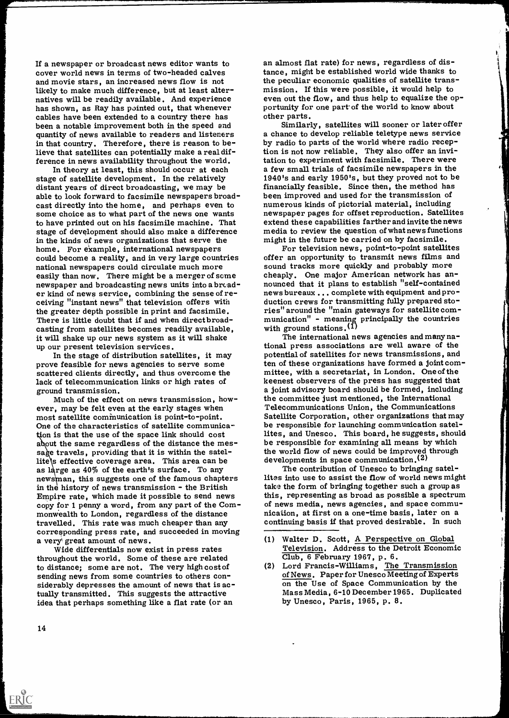If a newspaper or broadcast news editor wants to cover world news in terms of two-headed calves and movie stars, an increased news flow is not likely to make much difference, but at least alternatives will be readily available. And experience<br>
has shown, as Ray has pointed out, that whenever<br>
cables have been extended to a country there has<br>
been a notable improvement both in the speed and<br>
quantity of news avai in that country. Therefore, there is reason to believe that satellites can potentially make a real dif-

ference in news availability throughout the world. In theory at least, this should occur at each stage of satellite development. In the relatively distant years of direct broadcasting, we may be financially feasible. Since then, the method has<br>able to look forward to facsimile newspapers broad-<br>been improved and used for the transmission of able to look forward to facsimile newspapers broad-<br>cast directly into the home, and perhaps even to mumerous kinds of pictorial material, including some choice as to what part of the news one wants mewspaper pages for offset reproduction. Satellites<br>to have printed out on his facsimile machine. That extend these capabilities farther and invite the news to have printed out on his facsimile machine. That extend these capabilities farther and invite the n<br>stage of development should also make a difference media to review the question of what news functi<br>in the kinds of news home. For example, international newspapers example of the home. For television news, point-to-point satellites<br>could become a reality, and in very large countries offer an opportunity to transmit news films and national newspapers could circulate much more easily than now. There might be a merger of some newspaper and broadcasting news units into a broad-<br>er kind of news service, combining the sense of re-<br>ceiving "instant news" that television offers with duction crews for transmitting fully prepared stoceiving "instant news" that television offers with the greater depth possible in print and facsimile. There is little doubt that if and when direct broadcasting from satellites becomes readily available, it with ground stations.<sup>(1)</sup><br>it will shake up our news system as it will shake up our present television services.<br>In the stage of distribution satellites, it may beentia

prove feasible for news agencies to serve some ten of these organizations have formed a joint com<br>scattered clients directly, and thus overcome the mittee, with a secretariat, in London. One of the scattered clients directly, and thus overcome the lack of telecommunication links or high rates of ground transmission.

Much of the effect on news transmission, however, may be felt even at the early stages when most satellite communication is point-to-point. One of the characteristics of satellite communication is that the use of the space link should cost about the same regardless of the distance the mes-<br>sage travels, providing that it is within the satellite's effective coverage area. This area can be as large as  $40\%$  of the earth's surface. To any newsman, this suggests one of the famous chapters in the history of news transmission - the British Empire rate, which made it possible to send news copy for 1 penny a word, from any part of the Commonwealth to London, regardless of the distance hication, at first on a one-time basis, later on a travelled. This rate was much cheaper than any corresponding press rate, and succeeded in moving

a very' great amount of news. Wide differentials now exist in press rates throughout the world. Some of these are related to distance; some are not. The very high cost of sending news from some countries to others con-<br>siderably depresses the amount of news that is actually transmitted. This suggests the attractive idea that perhaps something like a flat rate (or an

an almost flat rate) for news, regardless of distance, might be established world wide thanks to the peculiar economic qualities of satellite transmission. If this were possible, it would help to even out the flow, and thus help to equalize the opti

Similarly, satellites will sooner or later offer a chance to develop reliable teletype news service tion is not now reliable. They also offer an invitation to experiment with facsimile. There were a few small trials of facsimile newspapers in the 1940's and early 1950's, but they proved not to be financially feasible. Since then, the method has newspaper pages for offset reproduction. Satellites media to review the question of what news functions<br>might in the future be carried on by facsimile.<br>For television news, point-to-point satellites

sound tracks more quickly and probably more cheaply. One major American network has announced that it plans to establish "self-contained news bureaux ... complete with equipment and prories" around the "main gateways for satellite com- munication" - meaning principally the countries

The international news agencies and many  $na$ potential of satellites for news transmissions, and ten of these organizations have formed a joint comkeenest observers of the press has suggested that a joint advisory board should be formed, including the committee just mentioned, the International Telecommunications Union, the Communications Satellite Corporation, other organizations that may be responsible for launching communication satellites, and Unesco. This board, he suggests, should be responsible for examining all means by which the world flow of news could be improved through

developments in space communication.<sup>(2)</sup><br>The contribution of Unesco to bringing satellites into use to assist the flow of world news might take the form of bringing together such a group as this, representing as broad as possible a spectrum of news media, news agencies, and space commucontinuing basis if that proved desirable. In such

- Walter D. Scott, A Perspective on Global Television. Address to the Detroit Economic
- Club, 6 February 1967, p. 6.<br>(2) Lord Francis-Williams, The Transmission of News. Paper for Unesco Meeting of Experts on the Use of Space Communication by the Mass Media, 6-10 December 1965. Duplicated by Unesco, Paris, 1965, p. 8.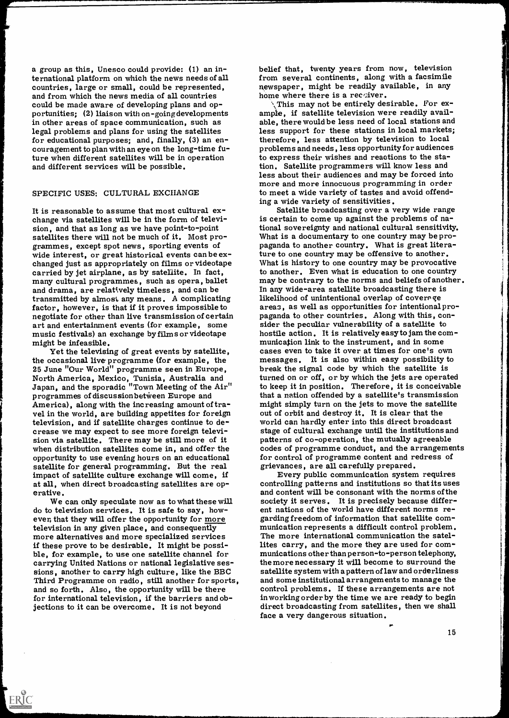a group as this, Unesco could provide: (1) an international platform on which the news needs of all countries, large or small, could be represented, and from which the news media of all countries could be made aware of developing plans and opportunities; (2) liaison with on-going developments ample, if satellite television were readily avail-<br>in other areas of space communication, such as able, there would be less need of local stations and in other areas of space communication, such as legal problems and plans for using the satellites for educational purposes; and, finally, (3) an encouragement to plan with an eye on the long-time future when different satellites will be in operation and different services will be possible.

#### SPECIFIC USES: CULTURAL EXCHANGE

It is reasonable to assume that most cultural exchange via satellites will be in the form of televi-<br>sion, and that as long as we have point-to-point<br>satellites there will not be much of it. Most pro-<br>grammes, except spot news, sporting events of<br>what is a documentary t many cultural programmes, such as opera, ballet and be contrary to the norms and beliefs of anot<br>and drama, are relatively timeless, and can be and any wide-area satellite broadcasting there is<br>transmitted by almost any me transmitted by almost any means. A complicating likelihood of unintentional overlap of coverage<br>factor, however, is that if it proves impossible to lareas, as well as opportunities for intentional profactor, however, is that if it proves impossible to negotiate for other than live transmission of certain art and entertainment events (for example, some sider the peculiar vulnerability of a satellite to<br>music festivals) an exchange by films or videotape hostile action. It is relatively easy to jam the co

might be infeasible. Yet the televising of great events by satellite, the occasional live programme (for example, the 25 June "Our World" programme seen in Europe, North America, Mexico, Tunisia, Australia and Japan, and the sporadic "Town Meeting of the Air" programmes of discussion between Europe and America), along with the increasing amount of travel in the world, are building appetites for foreign television, and if satellite charges continue to de-<br>
crease we may expect to see more foreign televi-<br>
sion via satellite. There may be still more of it<br>
when distribution satellites come in, and offer the<br>
codes of progr opportunity to use evening hours on an educational satellite for general programming. But the real impact of satellite culture exchange will come, if at all, when direct broadcasting satellites are op- erative.

We can only speculate now as to what these will do to television services. It is safe to say, however, that they will offer the opportunity for more garding freedom of information that satellite comtelevision in any given place, and consequently more alternatives and more specialized services if these prove to be desirable. It might be possi-<br>ble, for example, to use one satellite channel for munications other than person-to-person telephony,<br>carrying United Nations or national legislative ses-<br>sions, another t Third Programme on radio, still another for sports, and so forth. Also, the opportunity will be there for international television, if the barriers and objections to it can be overcome. It is not beyond direct broadcasting from satellites, then we shall

ERIC

belief that, twenty years from now, television<br>from several continents, along with a facsimile newspaper, might be readily available, in any

home where there is a receiver.<br> $\therefore$  This may not be entirely desirable. For example, if satellite television were readily availless support for these stations in local markets; therefore, less attention by television to local problems and needs, less opportunity for audiences to express their wishes and reactions to the station. Satellite programmers will know less and less about their audiences and may be forced into more and more innocuous programming in order to meet a wide variety of tastes and avoid offending a wide variety of sensitivities. Satellite broadcasting over a very wide range

is certain to come up against the problems of na-What is a documentary to one country may be proture to one country may be offensive to another. to another. Even what is education to one country may be contrary to the norms and beliefs of another. paganda to other countries. Along with this, conhostile action. It is relatively easy to jam the communication link to the instrument, and in some cases even to take it over at times for one's own messages. It is also within easy possibility to break the signal code by which the satellite is turned on or off, or by which the jets are operated to keep it in position. Therefore, it is conceivable that a nation offended by a satellite's transmission might simply turn on the jets to move the satellite out of orbit and destroy it. It is clear that the world can hardly enter into this direct broadcast stage of cultural exchange until the institutions and codes of programme conduct, and the arrangements for control of programme content and redress of grievances, are all carefully prepared. Every public communication system requires controlling patterns and institutions so that its uses

and content will be consonant with the norms of the society it serves. It is precisely because differ-<br>ent nations of the world have different norms remunication represents a difficult control problem. The more international communication the satellites carry, and the more they are used for communications other than person-to-person telephony, the more necessary it will become to surround the satellite system with a pattern of law and orderliness control problems. If these arrangements are not in working order by the time we are ready to begin face a very dangerous situation.

15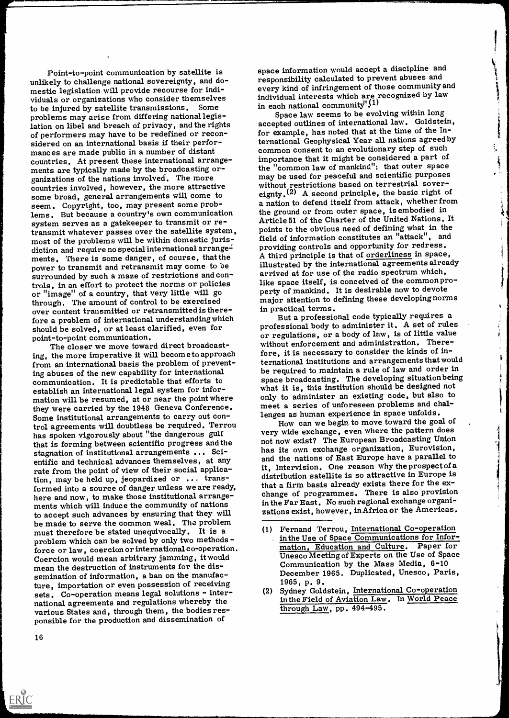Point-to-point communication by satellite is unlikely to challenge national sovereignty, and do-<br>mestic legislation will provide recourse for individuals or organizations who consider themselves to be injured by satellite transmissions. Some problems may arise from differing nationallegislation on libel and breach of privacy, and the rights of performers may have to be redefined or recon- sidered on an international basis if their performances are made public in a number of distant ments are typically made by the broadcasting or-<br>ganizations of the nations involved. The more<br>countries involved, however, the more attractive some broad, general arrangements will come to seem. Copyright, too, may present some problems. But because a country's own communication system serves as a gatekeeper to transmit or retransmit whatever passes over the satellite system, most of the problems will be within domestic jurisdiction and require no special international arrangements. There is some danger, of course, that the power to transmit and retransmit may come to be surrounded by such a maze of restrictions and controls, in an effort to protect the norms or policies like space itself, is conceived of the common pr<br>or "image" of a country, that very little will go perty of mankind. It is desirable now to devote through. The amount of control to be exercised major attention to cover content transmitted or retransmitted is there-<br>sin practical terms. over content transmitted or retransmitted is therefore a problem of international understanding which should be solved, or at least clarified, even for point-to-point communication.

The closer we move toward direct broadcasting, the more imperative it will becometo approach from an international basis the problem of preventing abuses of the new capability for international communication. It is predictable that efforts to establish an international legal system for infor-<br>mation will be resumed, at or near the point where they were carried by the <sup>1948</sup> Geneva Conference. Some institutional arrangements to carry out control agreements will doubtless be required. Terrou has spoken vigorously about "the dangerous gulf that is forming between scientific progress and the stagnation of institutional arrangements ... Scientific and technical advances themselves, at any rate from the point of view of their social application, may be held up, jeopardized or ... transformed into a source of danger unless we are ready, here and now, to make those institutional arrange- ments which will induce the community of nations to accept such advances by ensuring that they will be made to serve the common weal. The problem must therefore be stated unequivocally. It is a problem which can be solved by only two methods force or law, coercion or international co-operation. Coercion would mean arbitrary jamming, it would mean the destruction of instruments for the dissemination of information, a ban on the manufacture, importation or even possession of receiving sets. Co-operation means legal solutions - international agreements and regulations whereby the various States and, through them, the bodies responsible for the production and dissemination of

space information would accept a discipline and responsibility calculated to prevent abuses and every kind of infringement of those community and individual interests which are recognized by law in each national community" $(1)$ 

Space law seems to be evolving within long accepted outlines of international law. Goldstein, for example, has noted that at the time of the In-Space law seems to be evolving within long<br>accepted outlines of international law. Goldstein,<br>for example, has noted that at the time of the In-<br>ternational Geophysical Year all nations agreed by<br>common consent to an evolu common consent to an evolutionary step of such importance that it might be considered a part of the "common law of mankind": that outer space may be used for peaceful and scientific purposes without restrictions based on terrestrial sovereignty.<sup>(2)</sup> A second principle, the basic right of a nation to defend itself from attack, whether from the ground or from outer space, is embodied in Article <sup>51</sup>of the Charter of the United Nations. It points to the obvious need of defining what in the field of information constitutes an "attack", and providing controls and opportunity for redress. A third principle is that of orderliness in space, illustrated by the international agreements already arrived at for use of the radio spectrum which, like space itself, is conceived of the commonpromajor attention to defining these developing norms

But a professional code typically requires a professional body to administer it. A set of rules or regulations, or a body of law, is of little value without enforcement and administration. Therefore, it is necessary to consider the kinds of international institutions and arrangements that would  $\qquad$ be required to maintain a rule of law and order in space broadcasting. The developing situation being what it is, this institution should be designed not only to administer an existing code, but also to meet a series of unforeseen problems and challenges as human experience in space unfolds.

How can we begin to move toward the goal of very wide exchange, even where the pattern does not now exist? The European Broadcasting Union has its own exchange organization, Eurovision, and the nations of East Europe have a parallel to it, Intervision. One reason why the prospectof a distribution satellite is so attractive in Europe is that a firm basis already exists there for the exchange of programmes. There is also provision in the Far East. No such regional exchange organizations exist, however, inAfrica or the Americas.

- (1) Fernand Terrou, International Co-operation<br>in the Use of Space Communications for Information, Education and Culture. Paper for<br>Unesco Meeting of Experts on the Use of Space Communication by the Mass Media, 6-10 December 1965. Duplicated, Unesco, Paris, 1965, p. 9.
- (2) Sydney Goldstein, International Co-operation in the Field of Aviation Law. In World Peace through Law, pp. 494-495.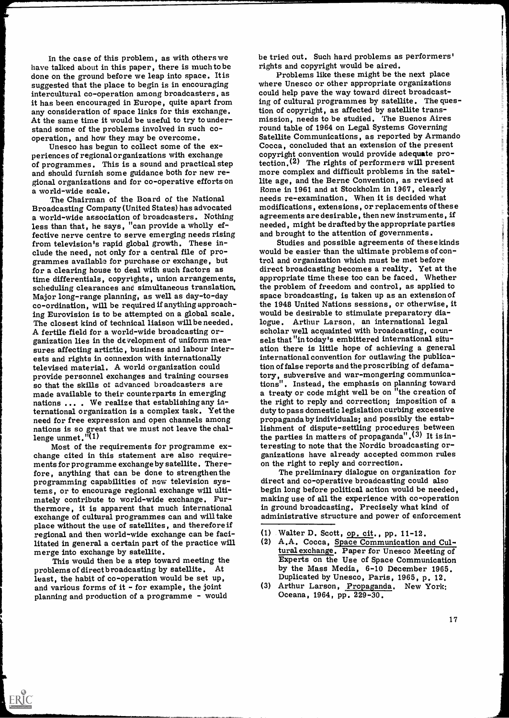In the case of this problem, as with others we be tried out. Such hard problems as<br>talked about in this paper, there is much to be rights and copyright would be aired. have talked about in this paper, there is much to be done on the ground before we leap into space. Itis suggested that the place to begin is in encouraging intercultural co-operation among broadcasters, as it has been encouraged in Europe, quite apart from any consideration of space links for this exchange.

of programmes. This is a sound and practical step tection. The rights of performers will present<br>and should furnish some guidance both for new re-<br>more complex and difficult problems in the sateland should furnish some guidance both for new re-<br>gional organizations and for co-operative efforts on lite age, and the Berne Convention, as revised a<br>a world-wide scale.<br>Rome in 1961 and at Stockholm in 1967, clearly a world-wide scale.

The Chairman of the Board of the National Broadcasting Company (United States) has advocated a world-wide association of broadcasters. Nothing less than that, he says, "can provide a wholly effective nerve centre to serve emerging needs rising from television's rapid global growth. These in-<br>clude the need, not only for a central file of pro-<br>grammes available for purchase or exchange, but<br>for a clearing house to deal with such factors as time differentials, copyrights, union arrangements, scheduling clearances and simultaneous translation. Major long-range planning, as well as day-to-day co-ordination, will be required if anything approaching Eurovision is to be attempted on a global scale. The closest kind of technical liaison will be needed.<br>A fertile field for a world-wide broadcasting organization lies in the development of uniform mea- sels that "in today's embittered international situ-<br>sures affecting artistic, business and labour inter- ation there is little hope of achieving a general ests and rights in connexion with internationally televised material. A world organization could provide personnel exchanges and training courses so that the skills of advanced broadcasters are made available to their counterparts in emerging nations  $\dots$ . We realize that establishing any international organization is a complex task. Yet the duty to pass domestic legislation curbing excessive<br>need for free expression and open channels among propaganda by individuals; and possibly the estabneed for free expression and open channels among nations is so great that we must not leave the chal-<br>lenge unmet." $(1)$ 

Most of the requirements for programme ex-<br>
change cited in this statement are also require-<br>
ments for programme exchange by satellite. There-<br>
fore, anything that can be done to strengthen the<br>
programming capabilities o tems, or to encourage regional exchange will ulti-<br>mately contribute to world-wide exchange. Fur-<br>thermore, it is apparent that much international in ground broadcasting. Precisely what kind of thermore, it is apparent that much international exchange of cultural programmes can and will take place without the use of satellites, and therefore if regional and then world-wide exchange can be facilitated in general a certain part of the practice will

merge into exchange by satellite. This would then be a step toward meeting the problems of direct broadcasting by satellite. At least, the habit of co-operation would be set up. and various forms of it - for example, the joint planning and production of a programme - would

ERIC

be tried out. Such hard problems as performers'

At the same time it would be useful to try to under-<br>
stand some of the problems involved in such co-<br>
operation, and how they may be overcome.<br>
Unesco has begun to collect some of the ex-<br>
periences of regional organizati Problems like these might be the next place. where Unesco or other appropriate organizations could help pave the way toward direct broadcasting of cultural programmes by satellite. The question of copyright, as affected by satellite transround table of 1964 on Legal Systems Governing Cocca, concluded that an extension of the present copyright convention would provide adequate protection.<sup>(2)</sup> The rights of performers will present lite age, and the Berne Convention, as revised at needs re-examination. When it is decided what modifications, extensions, or replacements of these agreements are desirable, then new instruments, if needed, might be drafted by the appropriate parties and brought to the attention of governments.

> Studies and possible agreements of these kinds would be easier than the ultimate problems of control and organization which must be met before direct broadcasting becomes a reality. Yet at the appropriate time these too can be faced. Whether the problem of freedom and control, as applied to space broadcasting, is taken up as an extension of the 1948 United Nations sessions, or otherwise, it would be desirable to stimulate preparatory dialogue. Arthur Larson, an international legal scholar well acquainted with broadcasting, counation there is little hope of achieving a general international convention for outlawing the publication of false reports and the proscribing of defamatory, subversive and war-mongering communications". Instead, the emphasis on planning toward a treaty or code might well be on "the creation of the right to reply and correction; imposition of a duty to pass domestic legislation curbing excessive lishment of dispute-settling procedures between the parties in matters of propaganda". $(3)$  It is interesting to note that the Nordic broadcasting or-<br>ganizations have already accepted common rules<br>on the right to reply and correction.<br>The preliminary dialogue on organization for

> begin long before political action would be needed, making use of all the experience with co-operation administrative structure and power of enforcement

(3) Arthur Larson, Propaganda. New York: Oceana, 1964, pp. 229

<sup>(1)</sup> Walter D. Scott, op. cit. , pp. 11-12.

<sup>(2)</sup> A.A. Cocca, Space Communication and Cultural exchange. Paper for Unesco Meeting of Experts on the Use of Space Communication by the Mass Media, 6-10 December 1965. Duplicated by Unesco, Paris, 1965, p. 12.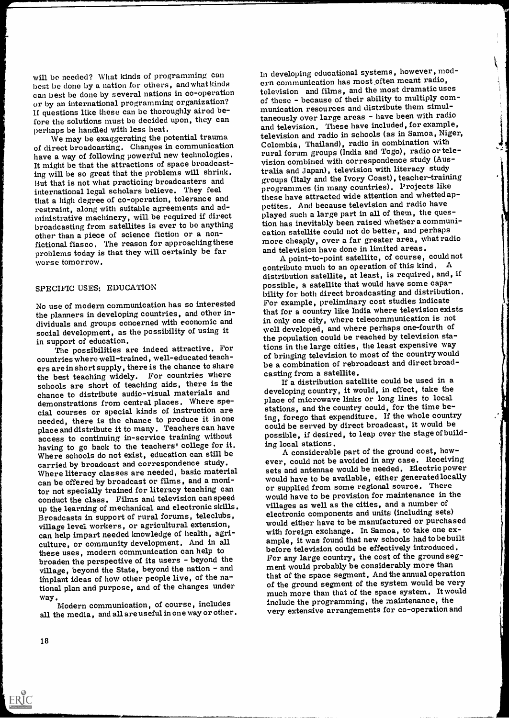will be needed? What kinds of programming can best be done by a nation for others, and what kinds can best be done by several nations in co-operation or by an international programming organization? If questions like these can be thoroughly aired before the solutions must be decided upon, they can perhaps be handled with less heat.

We may be exaggerating the potential trauma of direct broadcasting. Changes in communication have a way of following powerful new technologies. It might be that the attractions of space broadcasting will be so great that the problems will shrink. Hut that is not what practicing broadcasters and international legal scholars believe. They feel that a high degree of co-operation, tolerance and restraint, along with suitable agreements and administrative machinery, will be required if direct broadcasting from satellites is ever to be anything other than a piece of science fiction or a nonfictional fiasco. The reason for approaching these problems today is that they will certainly be far worse tomorrow.

#### SPECIFIC USES: EDUCATION

No use of modern communication has so interested the planners in developing countries, and other individuals and groups concerned with economic and social development, as the possibility of using it

in support of education.<br>The possibilities are indeed attractive. For countries where well-trained, well-educated teachers are in short supply, there is the chance to share be a combination of repr<br>the best teaching widely For countries where casting from a satellite. the best teaching widely. For countries where schools are short of teaching aids, there is the chance to distribute audio-visual materials and demonstrations from central places. Where special courses or special kinds of instruction are needed, there is the chance to produce it inone place and distribute it to many. Teachers can have access to continuing in-service training without having to go back to the teachers' college for it. Where schools do not exist, education can still be carried by broadcast and correspondence study. Where literacy classes are needed, basic material can be offered by broadcast or films, and a monitor not specially trained for literacy teaching can conduct the class. Films and television can speed up the learning of mechanical and electronic skills. Broadcasts in support of rural forums, teleclubs, village level workers, or agricultural extension, can help impart needed knowledge of health, agriculture, or community development. And in all these uses, modern communication can help to broaden the perspective of its users - beyond the village, beyond the State, beyond the nation - and implant ideas of how other people live, of the national plan and purpose, and of the changes under

way.<br>Modern communication, of course, includes all the media, and all are useful in one way or other. In developing educational systems, however, modern communication has most often meant radio, television and films, and the most dramatic uses of these - because of their ability to multiply communication resources and distribute them simultaneously over large areas - have been with radio and television. These have included, for example, television and radio in schools (as in Samoa, Niger, Colombia, Thailand), radio in combination with rural forum groups (India and Togo), radio or television combined with correspondence study (Australia and Japan), television with literacy study groups (Italy and the Ivory Coast), teacher-training programmes (in many countries). Projects like these have attracted wide attention and whetted appetites. And because television and radio have played such a large part in all of them, the question has inevitably been raised whether a communication satellite could not do better, and perhaps more cheaply, over a far greater area, what radio and television have done in limited areas.

 $\frac{1}{4}$ 

A point-to-point satellite, of course, could not contribute much to an operation of this kind.  $A$ distribution satellite, at least, is required, and, if possible, a satellite that would have some capability for both direct broadcasting and distribution. For example, preliminary cost studies indicate that for a country like India where television exists in only one city, where telecommunication is not well developed, and where perhaps one-fourth of the population could be reached by television stations in the large cities, the least expensive way of bringing television to most of the country would be a combination of rebroadcast and direct broad-

If a distribution satellite could be used in a developing country, it would, in effect, take the place of microwave links or long lines to local stations, and the country could, for the time being, forego that expenditure. If the whole country could be served by direct broadcast, it would be possible, if desired, to leap over the stage of build-

ing local stations. A considerable part of the ground cost, however, could not be avoided in any case. Receiving sets and antennae would be needed. Electric power would have to be available, either generated locally or supplied from some regional source. There would have to be provision for maintenance in the villages as well as the cities, and a number of electronic components and units (including sets) would either have to be manufactured or purchased with foreign exchange. In Samoa, to take one example, it was found that new schools had to be built before television could be effectively introduced. For any large country, the cost of the ground segment would probably be considerably more than that of the space segment. And the annual operation of the ground segment of the system would be very much more than that of the space system. It would include the programming, the maintenance, the very extensive arrangements for co-operation and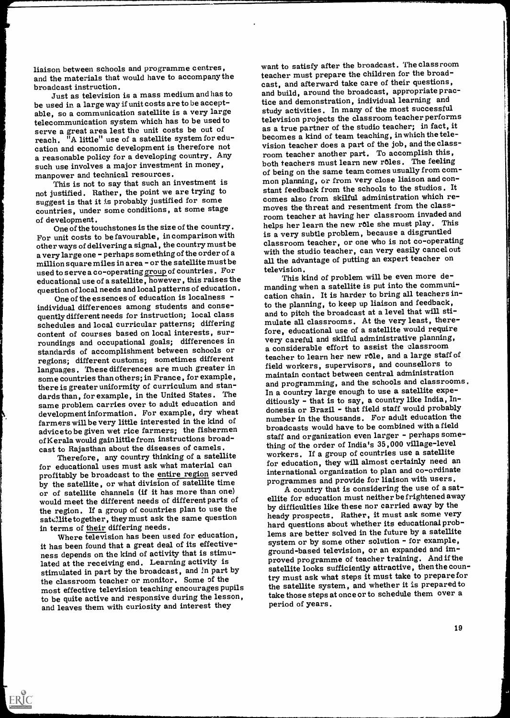liaison between schools and programme centres, and the materials that would have to accompany the broadcast instruction.

Just as television is a mass medium and has to be used in a large way if unit costs are to be acceptable, so a communication satellite is a very large telecommunication system which has to be used to serve a great area lest the unit costs be out of reach. "A little" use of a satellite system for education and economic development is therefore not a reasonable policy for a developing country. Any such use involves a major investment in money, manpower and technical resources.

This is not to say that such an investment is not justified. Rather, the point we are trying to suggest is that it is probably justified for some countries, under some conditions, at some stage

of development. One of the touchstones is the size of the country. For unit costs to be favourable, in comparison with other ways of delivering a signal, the country must be a very large one - perhaps something of the order of a million square miles in area - or the satellite must be used to serve a co-operating group of countries. For educational use of a satellite, however, this raisesthe question of local needs and local patterns of education.

One of the essences of education is localness  $$ individual differences among students and consequently different needs for instruction; local class schedules and local curricular patterns; differing content of courses based on local interests, surroundings and occupational goals; differences in standards of accomplishment between schools or regions; different customs; sometimes different languages. These differences are much greater in some countries than others; in Prance, for example, there is greater uniformity of curriculum and standards than, for example, in the United States. The same problem carries over to adult education and development information. For example, dry wheat farmers will be very little interested in the kind of adviceto be given wet rice farmers; the fishermen of Kerala would gain little from instructions broadcast to Rajasthan about the diseases of camels.

Therefore, any country thinking of a satellite for educational uses must ask what material can profitably be broadcast to the entire region served by the satellite, or what division of satellite time or of satellite channels (if it has more than one) would meet the different needs of different parts of the region. If a group of countries plan to use the satellitetogether, they must ask the same question

in terms of their differing needs. Where television has been used for education, it has been found that a great deal of its effectiveness depends on the kind of activity that is stimulated at the receiving end. Learning activity is stimulated in part by the broadcast, and in part by the classroom teacher or monitor. Some of the most effective television teaching encourages pupils to be quite active and responsive during the lesson, and leaves them with curiosity and interest they

ERIC

want to satisfy after the broadcast. The classroom teacher must prepare the children for the broadcast, and afterward take care of their questions, and build, around the broadcast, appropriate practice and demonstration, individual learning and study activities. In many of the most successful television projects the classroom teacher performs as a true partner of the studio teacher; in fact, it becomes a kind of team teaching, in which the television teacher does a part of the job, and the classroom teacher another part. To accomplish this, both teachers must learn new roles. The feeling of being on the same team comes usually from common planning, or from very close liaison and constant feedback from the schools to the studios. It comes also from skilful administration which removes the threat and resentment from the classroom teacher at having her classroom invaded and helps her learn the new role she must play. This is a very subtle problem, because a disgruntled classroom teacher, or one who is not co-operating with the studio teacher, can very easily cancel out all the advantage of putting an expert teacher on television.

This kind of problem will be even more demanding when a satellite is put into the communication chain. It is harder to bring all teachers into the planning, to keep up liaison and feedback, and to pitch the broadcast at a level that will stimulate all classrooms. At the very least, therefore, educational use of a satellite would require very careful and skilful administrative planning, a considerable effort to assist the classroom teacher to learn her new role, and a large staff of field workers, supervisors, and counsellors to maintain contact between central administration and programming, and the schools and classrooms. In a country large enough to use a satellite expeditiously - that is to say, a country like India, Indonesia or Brazil - that field staff would probably number in the thousands. For adult education the broadcasts would have to be combined with a field staff and organization even larger - perhaps something of the order of India's 35,000 village-level workers. If a group of countries use a satellite for education, they will almost certainly need an international organization to plan and co-ordinate programmes and provide for liaison with users.

A country that is considering the use of a satellite for education must neither be frightened away by difficulties like these nor carried away by the heady prospects. Rather, it must ask some very hard questions about whether its educational problems are better solved in the future by a satellite system or by some other solution - for example, ground-based television, or an expanded and improved programme of teacher training. And if the satellite looks sufficiently attractive, then the country must ask what steps it must take to prepare for the satellite system, and whether it is prepared to take those steps at once or to schedule them period of years.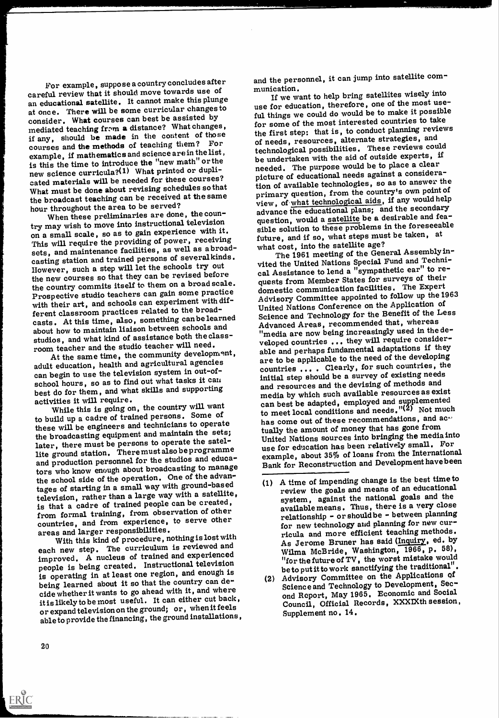For example, suppose a country concludes after careful review that it should move towards use of an educational satellite. It cannot make this plunge at once. There will be some curricular changes to consider. What courses can best be assisted by mediated teaching from a distance? What changes, if any, should be made in the content of those courses and the methods of teaching them? For example, if mathematics and science are in the list , is this the time to introduce the "new math" or the new science curricula?(1) What printed or duplicated materials will be needed for these courses? What must be done about revising schedules so that the broadcast teaching can be received at the same hour throughout the area to be served?

When these preliminaries are done, the country may wish to move into instructional television on a small scale, so as to gain experience with it. This will require the providing of power, receiving sets, and maintenance facilities, as well as a broadcasting station and trained persons of several kinds. However, such a step will let the schools try out the new courses so that they can be revised before the country commits itself to them on a broad scale. Prospective studio teachers can gain some practice with their art, and schools can experiment with different classroom practices related to the broadcasts. At this time, also, something can belearned about how to maintain liaison between schools and studios, and what kind of assistance both the classroom teacher and the studio teacher will need.

At the same time, the community development, adult education, health and agricultural agencies can begin to use the television system in out-ofschool hours, so as to find out what tasks it can best do for them, and what skills and supporting

While this is going on, the country will want to build up a cadre of trained persons. Some of these will be engineers and technicians to operate the broadcasting equipment and maintain the sets; later, there must be persons to operate the satellite ground station. There must also be programme and production personnel for the studios and educators who know enough about broadcasting to manage the school side of the operation. One of the advantages of starting in a small way with ground-based television, rather than a large way with a satellite, is that a cadre of trained people can be created, from formal training, from observation of other countries, and from experience, to serve other areas and larger responsibilities.

With this kind of procedure, nothingis lost with each new step. The curriculum is reviewed and improved. A nucleus of trained and experienced people is being created. Instructional television is operating in at least one region, and enough is being learned about it so that the country can decide whether it wants to go ahead with it, and where it is likely to be most useful. It can either cut back, or expand television on the ground; or, when it feels able to provide the financing, the ground installations, and the personnel, it can jump into satellite communication.

If we want to help bring satellites wisely into use for education, therefore, one of the most useful things we could do would be to make it possible for some of the most interested countries to take the first step: that is, to conduct planning reviews of needs, resources, alternate strategies, and technological possibilities. These reviews could be undertaken with the aid of outside experts, if needed. The purpose would be to place a clear picture of educational needs against a consideration of available technologies, so as to answer the primary question, from the country's own point of view, of what technological aids, if any would help advance the educational plans; and the secondary question, would a satellite be a desirable and feasible solution to these problems in the foreseeable future, and if so, what steps must be taken, at what cost, into the satellite age?

The 1961 meeting of the General Assembly invited the United Nations Special Fund and Technical Assistance to lend a "sympathetic ear" to requests from Member States for surveys of their domestic communication facilities. The Expert Advisory Committee appointed to follow up the 1963 United Nations Conference on the Application of Science and Technology for the Benefit of the Less Advanced Areas, recommended that, whereas "media are now being increasingly used in the developed countries ... they will require considerable and perhaps fundamental adaptations if they are to be applicable to the need of the developing countries ... . Clearly, for such countries, the initial step should be a survey of existing needs and resources and the devising of methods and media by which such available resources as exist can best be adapted, employed and supplemented to meet local conditions and needs.  $"({25})$  Not much has come out of these recommendations, and ac $\cdot$ tually the amount of money that has gone from United Nations sources into bringing the media into use for education has been relatively small. For example, about 35% of loans from the International Bank for Reconstruction and Development have been

- (1) A time of impending change is the best time to review the goals and means of an educational system, against the national goals and the available means. Thus, there is a very close relationship - or should be - between planning for new technology and planning for new curricula and more efficient teaching methods. As Jerome Bruner has said (Inquiry, ed. by Wilma McBride, Washington, 1966, p. 58), "for the future of TV, the worst mistake would<br>be to put it to work sanctifying the traditional".
- (2) Advisory Committee on the Applications of Science and Technology to Development, Second Report, May 1965. Economic and Social Council, Official Records, XXXIXth session, Supplement no. 14.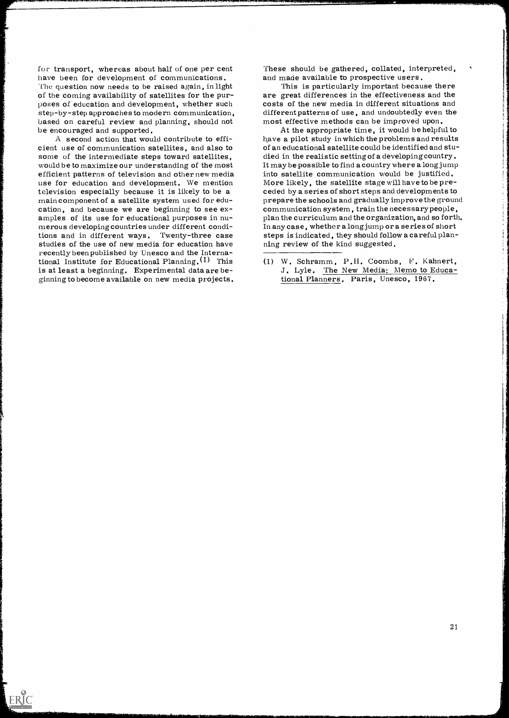for transport, whereas about half of one per cent have been for development of communications. The question now needs to be raised again, in light of the coming availability of satellites for the purposes of education and development, whether such step-by-step approaches to modern communication, based on careful review and planning, should not be encouraged and supported.<br>A second action that would contribute to effi-

cient use of communication satellites, and also to some of the intermediate steps toward satellites, would be to maximize our understanding of the most efficient patterns of television and other new media into satellite communication would be justified.<br>use for education and development. We mention More likely, the satellite stage will have to be pretelevision especially because it is likely to be a main component of a satellite system used for edu-<br>cation, and because we are beginning to see ex-<br>amples of its use for educational purposes in numerous developing countries under different conditions and in different ways. Twenty-three case studies of the use of new media for education have recently been published by Unesco and the International Institute for Educational Planning.<sup>(1)</sup> This is at least a beginning. Experimental data are beginning to become available on new media projects.

ERIC

These should be gathered, collated, interpreted, and made available to prospective users.<br>This is particularly important because there

are great differences in the effectiveness and the costs of the new media in different situations and different patterns of use, and undoubtedly even the most effective methods can be improved upon.

At the appropriate time, it would be helpful to have a pilot study in which the problems and results of an educational satellite could be identified and studied in the realistic setting of a developing country. It may be possible to find a country where a long jump into satellite communication would be justified. ceded by a series of short steps and developments to prepare the schools and gradually improve the ground communication system, train the necessary people, plan the curriculum and the organization, and so forth. In any case, whether a long jump or a series of short steps is indicated, they should follow a careful planning review of the kind suggested.

(1) W. Schramm, P.II. Coombs, F. Kahnert, J. Lyle. The New Media: Memo to Educational Planners. Paris, Unesco, 1967.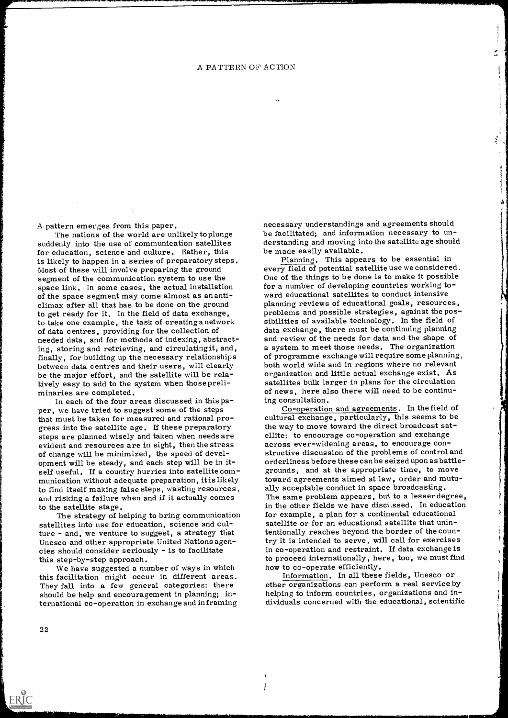A pattern emerges from this paper.

suddenly into the use of communication satellites for education, science and culture. Rather, this is likely to happen in a series of preparatory steps. Most of these will involve preparing the ground segment of the communication system to use the space link. In some cases, the actual installation for a number of developing countries working to<br>of the space segment may come almost as an anti-<br>ward educational satellites to conduct intensive of the space segment may come almost as an anti-<br>climax after all that has to be done on the ground planning reviews of educational goals, resources, to get ready for it. In the field of data exchange, to take one example, the task of creating a network sibilities of available technology. In the field of of data centres, providing for the collection of data exchange, there must be continuing planning needed data, and for methods of indexing, abstracting, storing and retrieving, and circulatingit, and, a system to meet those needs. The organization<br>finally, for building up the necessary relationships of programme exchange will require some planning<br>between data centres be the major effort, and the satellite will be relatively easy to add to the system when those preli-<br>minaries are completed.<br>In each of the four areas discussed in this pa-<br>per, we have tried to suggest some of the steps

that must be taken for measured and rational pro-<br>gress into the satellite age. If these preparatory<br>steps are planned wisely and taken when needs are ellite: to encourage co-operation and exchange steps are planned wisely and taken when needs are ellite: to encourage co-operation and exchange<br>evident and resources are in sight, then the stress exeross ever-widening areas, to encourage conof change will be minimized, the speed of devel- opment will be steady, and each step will be in itself useful. If a country hurries into satellite com-<br>munication without adequate preparation, it is likely<br>to find itself making false steps, wasting resources, ally acceptable conduct in space broadcasting. to find itself making false steps, wasting resources, ally acceptable conduct in space broadcasting.<br>and risking a failure when and if it actually comes The same problem appears, but to a lesser degree,

satellites into use for education, science and culture - and, we venture to suggest, a strategy that Unesco and other appropriate United Nations agen- cies should consider seriously - is to facilitate

this step-by-step approach.<br>We have suggested a number of ways in which low to co-operate efficiently. this facilitation might occur in different areas. They fall into a few general categories: there should be help and encouragement in planning; international co-operation in exchange and in framing

The nations of the world are unlikely to plunge be facilitated; and information necessary to unnecessary understandings and agreements should derstanding and moving into the satellite age should be made easily available.

Ĵ.

Planning. This appears to be essential in every field of potential satellite use we considered. One of the things to be done is to make it possible for a number of developing countries working toproblems and possible strategies, against the posdata exchange, there must be continuing planning and review of the needs for data and the shape of a system to meet those needs. The organization of programme exchange will require some planning, both world wide and in regions where no relevant organization and little actual exchange exist. As satellites bulk larger in plans for the circulation of news, here also there will need to be continu-

to the satellite stage.<br>The strategy of helping to bring communication for example, a plan for a continental educational ing consultation.<br>Co-operation and agreements. In the field of cultural exchange, particularly, this seems to be the way to move toward the direct broadcast satstructive discussion of the problems of control and orderliness before these can be seized upon as battle- grounds, and at the appropriate time, to move toward agreements aimed at law, order and mutuin the other fields we have disc'4,ssed. In education satellite or for an educational satellite that unintentionally reaches beyond the border of the country it is intended to serve, will call for exercises in co-operation and restraint. If data exchange is to proceed internationally, here, too, we must find

> Information. In all these fields, Unesco or other organizations can perform a real service by helping to inform countries, organizations and in-<br>dividuals concerned with the educational, scientific

 $\mathbf{I}$ İ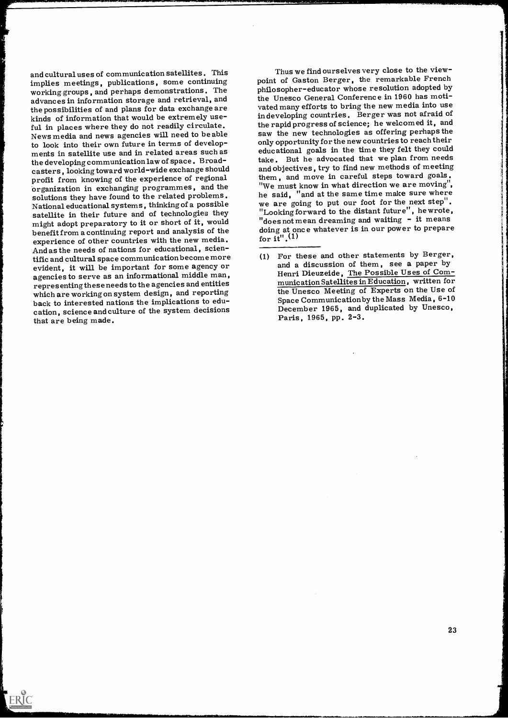and cultural uses of communication satellites. This implies meetings, publications, some continuing working groups, and perhaps demonstrations. The advances in information storage and retrieval, and kinds of information that would be extremely use-<br>ful in places where they do not readily circulate. News media and news agencies will need to be able to look into their own future in terms of developments in satellite use and in related areas such as the developing communication law of space. Broadcasters, looking toward world-wide exchange should profit from knowing of the experience of regional organization in exchanging programmes, and the solutions they have found to the related problems. National educational systems, thinking of a possible we are going to put our foot for the next step.<br>
satellite in their future and of technologies they let looking forward to the distant future", he wrote, satellite in their future and of technologies they might adopt preparatory to it or short of it, would benefit from a continuing report and analysis of the experience of other countries with the new media. And as the needs of nations for educational, scien-<br>tific and cultural space communication become more evident, it will be important for some agency or agencies to serve as an informational middle man, representing these needs to the agencies and entities which are working on system design, and reporting back to interested nations the implications to education, science and culture of the system decisions that are being made.

ERIC

Thus we find ourselves very close to the viewpoint of Gaston Berger, the remarkable French philosopher-educator whose resolution adopted by the Unesco General Conference in 1960 has motivated many efforts to bring the new media into use in developing countries. Berger was not afraid of the rapid progress of science; he welcomed it, and saw the new technologies as offering perhaps the only opportunity for the new countries to reach their educational goals in the time they felt they could take. But he advocated that we plan from needs and objectives, try to find new methods of meeting them, and move in careful steps toward goals. "We must know in what direction we are moving", he said, "and at the same time make sure where we are going to put our foot for the next step". "does not mean dreaming and waiting  $-$  it means doing at once whatever is in our power to prepare for  $i\overline{t}$ <sup>"</sup>.<sup>(1)</sup>

<sup>(1)</sup> For these and other statements by Berger, and a discussion of them, see a paper by Henri Dieuzeide, The Possible Uses of Communication Satellites in Education, written for the Unesco Meeting of Experts on the Use of Space Communication by the Mass Media, 6-10 December 1965, and duplicated by Unesco, Paris, 1965, pp. 2-3.